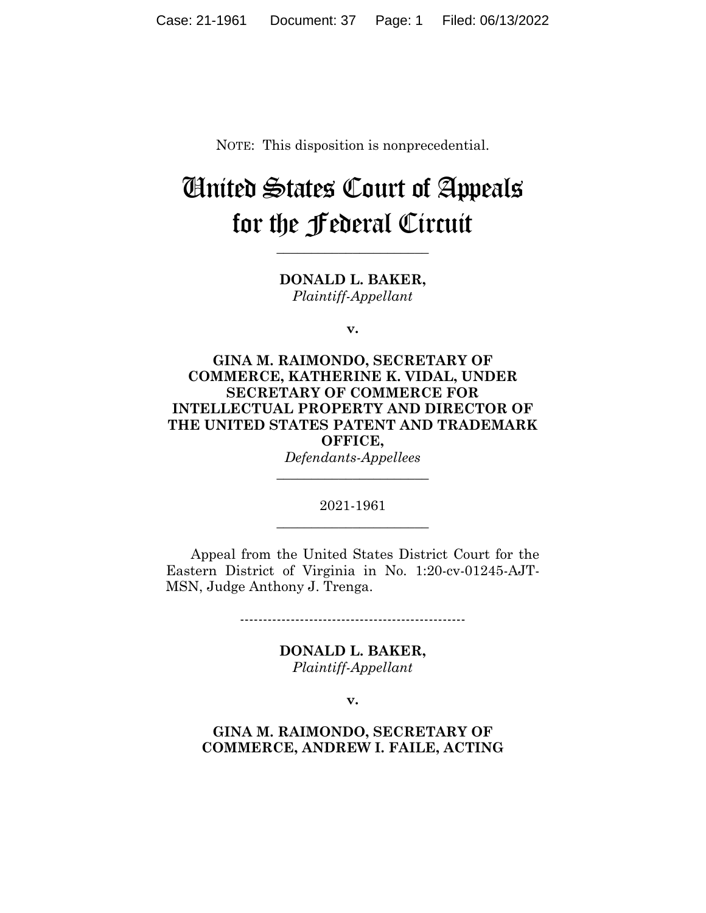NOTE: This disposition is nonprecedential.

# United States Court of Appeals for the Federal Circuit

**DONALD L. BAKER,** *Plaintiff-Appellant*

**\_\_\_\_\_\_\_\_\_\_\_\_\_\_\_\_\_\_\_\_\_\_** 

**v.**

**GINA M. RAIMONDO, SECRETARY OF COMMERCE, KATHERINE K. VIDAL, UNDER SECRETARY OF COMMERCE FOR INTELLECTUAL PROPERTY AND DIRECTOR OF THE UNITED STATES PATENT AND TRADEMARK OFFICE,**

*Defendants-Appellees* **\_\_\_\_\_\_\_\_\_\_\_\_\_\_\_\_\_\_\_\_\_\_** 

2021-1961 **\_\_\_\_\_\_\_\_\_\_\_\_\_\_\_\_\_\_\_\_\_\_** 

Appeal from the United States District Court for the Eastern District of Virginia in No. 1:20-cv-01245-AJT-MSN, Judge Anthony J. Trenga.

-------------------------------------------------

**DONALD L. BAKER,** *Plaintiff-Appellant*

**v.**

**GINA M. RAIMONDO, SECRETARY OF COMMERCE, ANDREW I. FAILE, ACTING**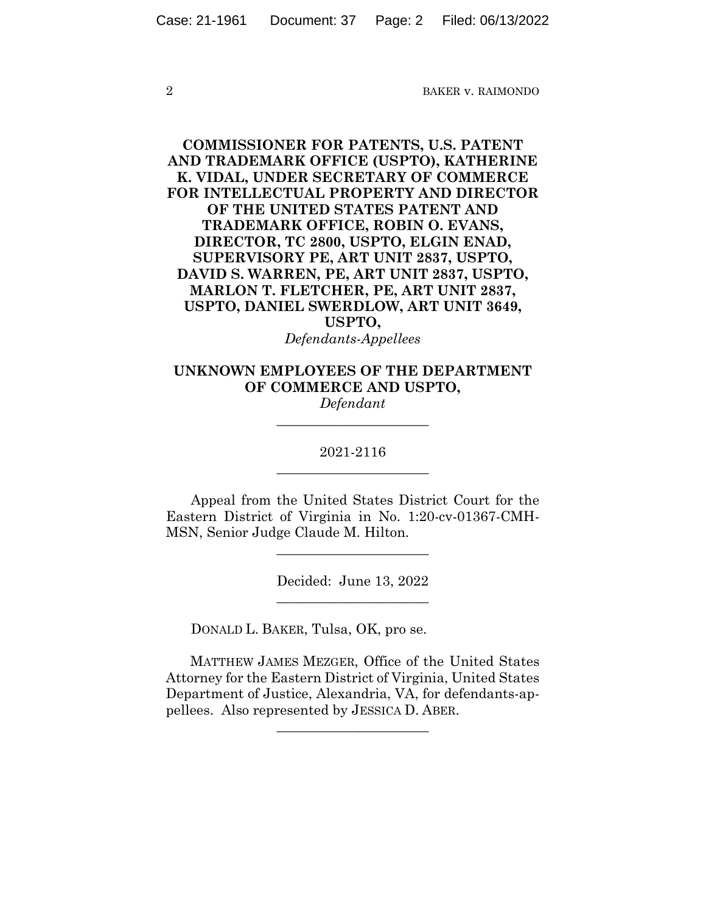# **COMMISSIONER FOR PATENTS, U.S. PATENT AND TRADEMARK OFFICE (USPTO), KATHERINE K. VIDAL, UNDER SECRETARY OF COMMERCE FOR INTELLECTUAL PROPERTY AND DIRECTOR OF THE UNITED STATES PATENT AND TRADEMARK OFFICE, ROBIN O. EVANS, DIRECTOR, TC 2800, USPTO, ELGIN ENAD, SUPERVISORY PE, ART UNIT 2837, USPTO, DAVID S. WARREN, PE, ART UNIT 2837, USPTO, MARLON T. FLETCHER, PE, ART UNIT 2837, USPTO, DANIEL SWERDLOW, ART UNIT 3649, USPTO,** *Defendants-Appellees*

## **UNKNOWN EMPLOYEES OF THE DEPARTMENT OF COMMERCE AND USPTO,** *Defendant*

**\_\_\_\_\_\_\_\_\_\_\_\_\_\_\_\_\_\_\_\_\_\_** 

# 2021-2116 **\_\_\_\_\_\_\_\_\_\_\_\_\_\_\_\_\_\_\_\_\_\_**

Appeal from the United States District Court for the Eastern District of Virginia in No. 1:20-cv-01367-CMH-MSN, Senior Judge Claude M. Hilton.

 $\overline{\phantom{a}}$  , where  $\overline{\phantom{a}}$  , where  $\overline{\phantom{a}}$  , where  $\overline{\phantom{a}}$ 

Decided: June 13, 2022  $\overline{\phantom{a}}$  , where  $\overline{\phantom{a}}$  , where  $\overline{\phantom{a}}$  , where  $\overline{\phantom{a}}$ 

DONALD L. BAKER, Tulsa, OK, pro se.

 MATTHEW JAMES MEZGER, Office of the United States Attorney for the Eastern District of Virginia, United States Department of Justice, Alexandria, VA, for defendants-appellees. Also represented by JESSICA D. ABER.

 $\overline{\phantom{a}}$  , where  $\overline{\phantom{a}}$  , where  $\overline{\phantom{a}}$  , where  $\overline{\phantom{a}}$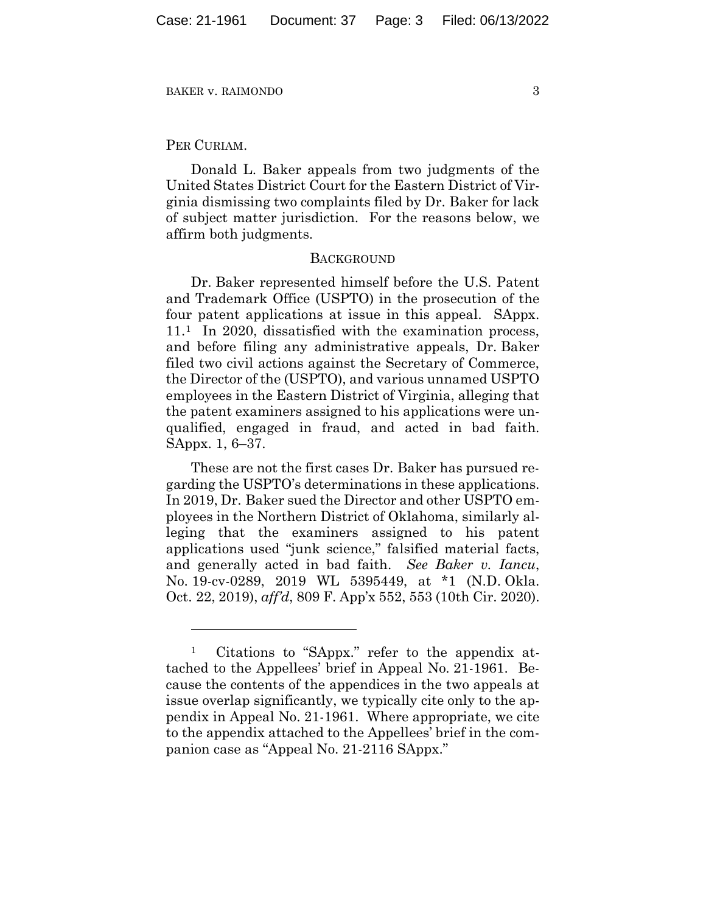#### PER CURIAM.

Donald L. Baker appeals from two judgments of the United States District Court for the Eastern District of Virginia dismissing two complaints filed by Dr. Baker for lack of subject matter jurisdiction. For the reasons below, we affirm both judgments.

#### **BACKGROUND**

Dr. Baker represented himself before the U.S. Patent and Trademark Office (USPTO) in the prosecution of the four patent applications at issue in this appeal. SAppx. 11.1 In 2020, dissatisfied with the examination process, and before filing any administrative appeals, Dr. Baker filed two civil actions against the Secretary of Commerce, the Director of the (USPTO), and various unnamed USPTO employees in the Eastern District of Virginia, alleging that the patent examiners assigned to his applications were unqualified, engaged in fraud, and acted in bad faith. SAppx. 1, 6–37.

These are not the first cases Dr. Baker has pursued regarding the USPTO's determinations in these applications. In 2019, Dr. Baker sued the Director and other USPTO employees in the Northern District of Oklahoma, similarly alleging that the examiners assigned to his patent applications used "junk science," falsified material facts, and generally acted in bad faith. *See Baker v. Iancu*, No. 19-cv-0289, 2019 WL 5395449, at \*1 (N.D. Okla. Oct. 22, 2019), *aff'd*, 809 F. App'x 552, 553 (10th Cir. 2020).

<sup>1</sup> Citations to "SAppx." refer to the appendix attached to the Appellees' brief in Appeal No. 21-1961. Because the contents of the appendices in the two appeals at issue overlap significantly, we typically cite only to the appendix in Appeal No. 21-1961. Where appropriate, we cite to the appendix attached to the Appellees' brief in the companion case as "Appeal No. 21-2116 SAppx."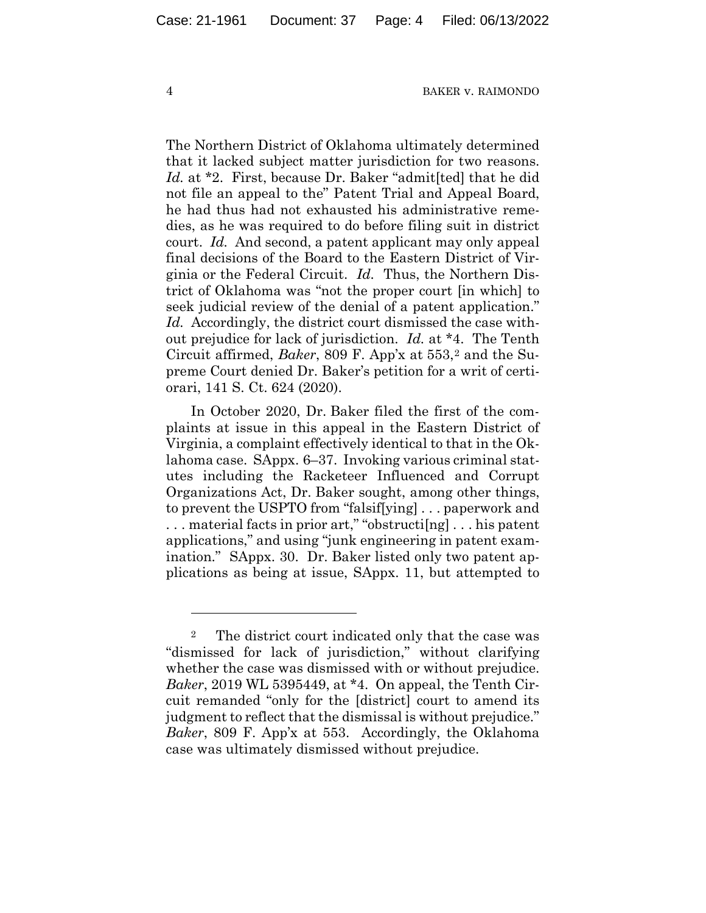The Northern District of Oklahoma ultimately determined that it lacked subject matter jurisdiction for two reasons. Id. at \*2. First, because Dr. Baker "admit[ted] that he did not file an appeal to the" Patent Trial and Appeal Board, he had thus had not exhausted his administrative remedies, as he was required to do before filing suit in district court. *Id.* And second, a patent applicant may only appeal final decisions of the Board to the Eastern District of Virginia or the Federal Circuit. *Id.* Thus, the Northern District of Oklahoma was "not the proper court [in which] to seek judicial review of the denial of a patent application." *Id.* Accordingly, the district court dismissed the case without prejudice for lack of jurisdiction. *Id.* at \*4. The Tenth Circuit affirmed, *Baker*, 809 F. App'x at 553,<sup>2</sup> and the Supreme Court denied Dr. Baker's petition for a writ of certiorari, 141 S. Ct. 624 (2020).

In October 2020, Dr. Baker filed the first of the complaints at issue in this appeal in the Eastern District of Virginia, a complaint effectively identical to that in the Oklahoma case. SAppx. 6–37. Invoking various criminal statutes including the Racketeer Influenced and Corrupt Organizations Act, Dr. Baker sought, among other things, to prevent the USPTO from "falsif[ying] . . . paperwork and . . . material facts in prior art," "obstructi[ng] . . . his patent applications," and using "junk engineering in patent examination." SAppx. 30. Dr. Baker listed only two patent applications as being at issue, SAppx. 11, but attempted to

<sup>2</sup> The district court indicated only that the case was "dismissed for lack of jurisdiction," without clarifying whether the case was dismissed with or without prejudice. *Baker*, 2019 WL 5395449, at \*4. On appeal, the Tenth Circuit remanded "only for the [district] court to amend its judgment to reflect that the dismissal is without prejudice." *Baker*, 809 F. App'x at 553. Accordingly, the Oklahoma case was ultimately dismissed without prejudice.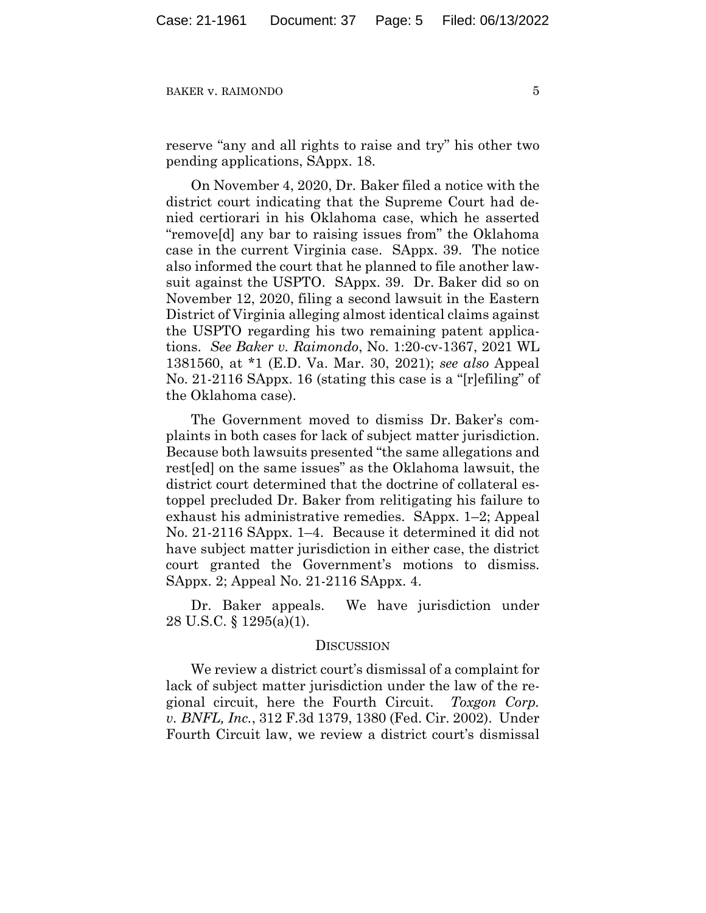reserve "any and all rights to raise and try" his other two pending applications, SAppx. 18.

On November 4, 2020, Dr. Baker filed a notice with the district court indicating that the Supreme Court had denied certiorari in his Oklahoma case, which he asserted "remove[d] any bar to raising issues from" the Oklahoma case in the current Virginia case. SAppx. 39. The notice also informed the court that he planned to file another lawsuit against the USPTO. SAppx. 39. Dr. Baker did so on November 12, 2020, filing a second lawsuit in the Eastern District of Virginia alleging almost identical claims against the USPTO regarding his two remaining patent applications. *See Baker v. Raimondo*, No. 1:20-cv-1367, 2021 WL 1381560, at \*1 (E.D. Va. Mar. 30, 2021); *see also* Appeal No. 21-2116 SAppx. 16 (stating this case is a "[r]efiling" of the Oklahoma case).

The Government moved to dismiss Dr. Baker's complaints in both cases for lack of subject matter jurisdiction. Because both lawsuits presented "the same allegations and rest[ed] on the same issues" as the Oklahoma lawsuit, the district court determined that the doctrine of collateral estoppel precluded Dr. Baker from relitigating his failure to exhaust his administrative remedies. SAppx. 1–2; Appeal No. 21-2116 SAppx. 1–4. Because it determined it did not have subject matter jurisdiction in either case, the district court granted the Government's motions to dismiss. SAppx. 2; Appeal No. 21-2116 SAppx. 4.

Dr. Baker appeals. We have jurisdiction under 28 U.S.C. § 1295(a)(1).

## **DISCUSSION**

We review a district court's dismissal of a complaint for lack of subject matter jurisdiction under the law of the regional circuit, here the Fourth Circuit. *Toxgon Corp. v. BNFL, Inc.*, 312 F.3d 1379, 1380 (Fed. Cir. 2002). Under Fourth Circuit law, we review a district court's dismissal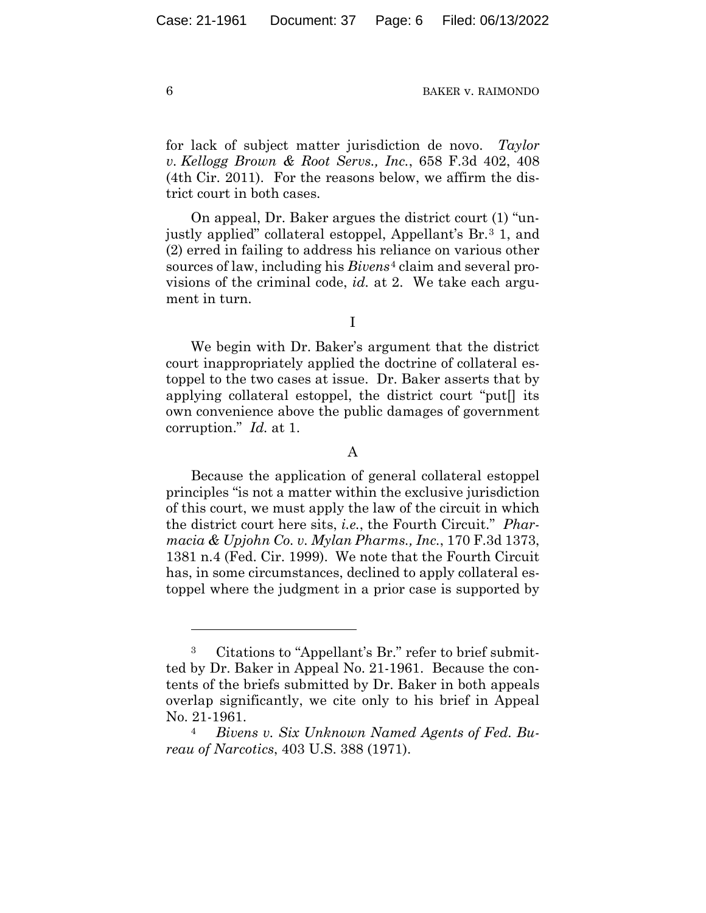for lack of subject matter jurisdiction de novo. *Taylor v. Kellogg Brown & Root Servs., Inc.*, 658 F.3d 402, 408 (4th Cir. 2011). For the reasons below, we affirm the district court in both cases.

On appeal, Dr. Baker argues the district court (1) "unjustly applied" collateral estoppel, Appellant's Br.3 1, and (2) erred in failing to address his reliance on various other sources of law, including his *Bivens*<sup>4</sup> claim and several provisions of the criminal code, *id.* at 2. We take each argument in turn.

I

We begin with Dr. Baker's argument that the district court inappropriately applied the doctrine of collateral estoppel to the two cases at issue. Dr. Baker asserts that by applying collateral estoppel, the district court "put[] its own convenience above the public damages of government corruption." *Id.* at 1.

A

Because the application of general collateral estoppel principles "is not a matter within the exclusive jurisdiction of this court, we must apply the law of the circuit in which the district court here sits, *i.e.*, the Fourth Circuit." *Pharmacia & Upjohn Co. v. Mylan Pharms., Inc.*, 170 F.3d 1373, 1381 n.4 (Fed. Cir. 1999). We note that the Fourth Circuit has, in some circumstances, declined to apply collateral estoppel where the judgment in a prior case is supported by

<sup>3</sup> Citations to "Appellant's Br." refer to brief submitted by Dr. Baker in Appeal No. 21-1961. Because the contents of the briefs submitted by Dr. Baker in both appeals overlap significantly, we cite only to his brief in Appeal No. 21-1961.

<sup>4</sup> *Bivens v. Six Unknown Named Agents of Fed. Bureau of Narcotics*, 403 U.S. 388 (1971).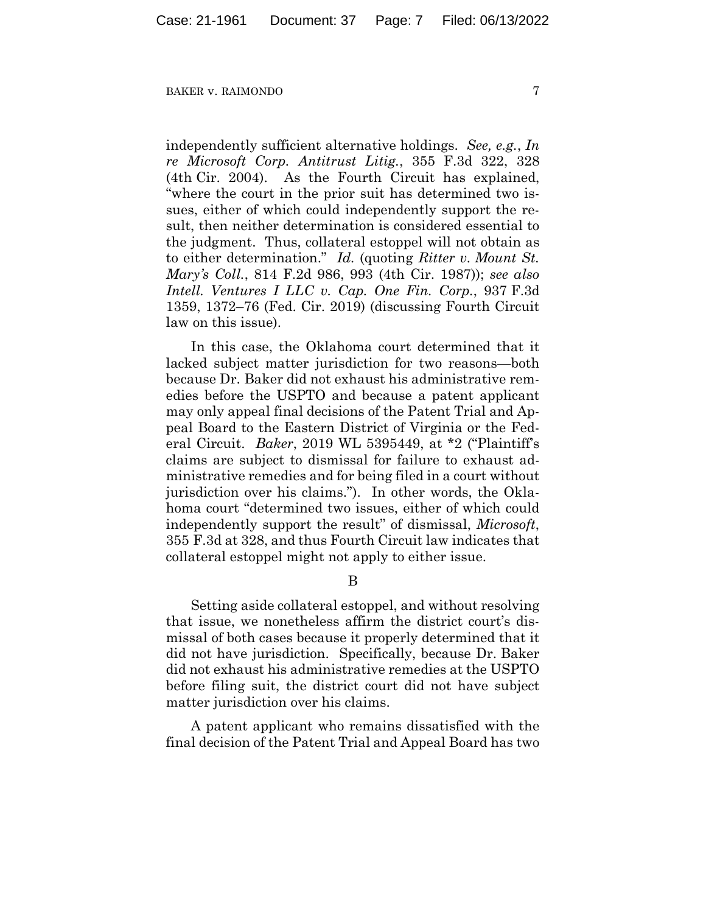independently sufficient alternative holdings. *See, e.g.*, *In re Microsoft Corp. Antitrust Litig.*, 355 F.3d 322, 328 (4th Cir. 2004). As the Fourth Circuit has explained, "where the court in the prior suit has determined two issues, either of which could independently support the result, then neither determination is considered essential to the judgment. Thus, collateral estoppel will not obtain as to either determination." *Id.* (quoting *Ritter v. Mount St. Mary's Coll.*, 814 F.2d 986, 993 (4th Cir. 1987)); *see also Intell. Ventures I LLC v. Cap. One Fin. Corp.*, 937 F.3d 1359, 1372–76 (Fed. Cir. 2019) (discussing Fourth Circuit law on this issue).

In this case, the Oklahoma court determined that it lacked subject matter jurisdiction for two reasons—both because Dr. Baker did not exhaust his administrative remedies before the USPTO and because a patent applicant may only appeal final decisions of the Patent Trial and Appeal Board to the Eastern District of Virginia or the Federal Circuit. *Baker*, 2019 WL 5395449, at \*2 ("Plaintiff's claims are subject to dismissal for failure to exhaust administrative remedies and for being filed in a court without jurisdiction over his claims."). In other words, the Oklahoma court "determined two issues, either of which could independently support the result" of dismissal, *Microsoft*, 355 F.3d at 328, and thus Fourth Circuit law indicates that collateral estoppel might not apply to either issue.

B

Setting aside collateral estoppel, and without resolving that issue, we nonetheless affirm the district court's dismissal of both cases because it properly determined that it did not have jurisdiction. Specifically, because Dr. Baker did not exhaust his administrative remedies at the USPTO before filing suit, the district court did not have subject matter jurisdiction over his claims.

A patent applicant who remains dissatisfied with the final decision of the Patent Trial and Appeal Board has two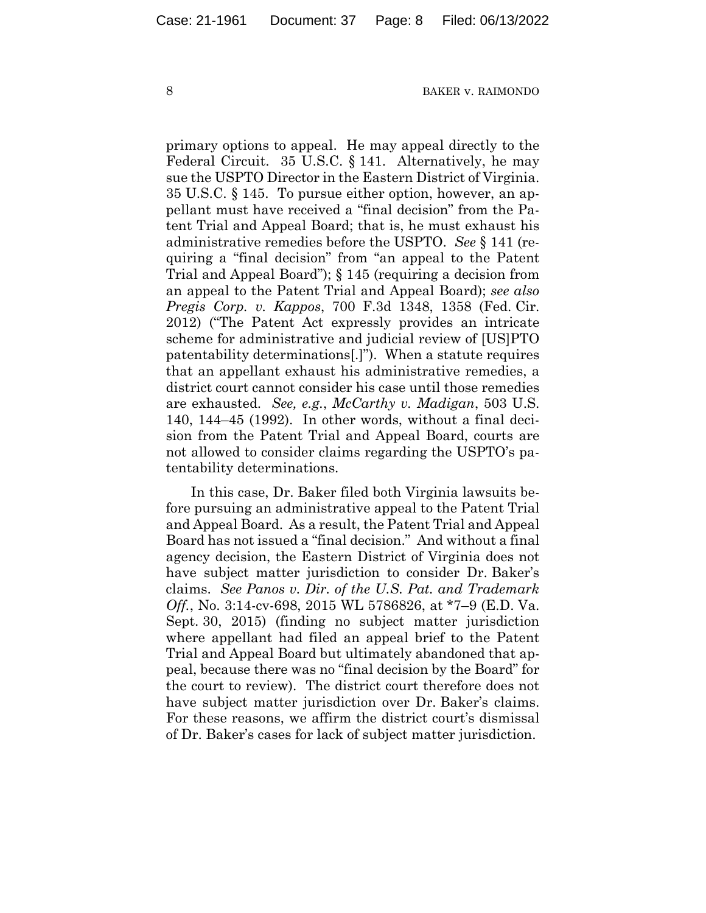primary options to appeal. He may appeal directly to the Federal Circuit. 35 U.S.C. § 141. Alternatively, he may sue the USPTO Director in the Eastern District of Virginia. 35 U.S.C. § 145. To pursue either option, however, an appellant must have received a "final decision" from the Patent Trial and Appeal Board; that is, he must exhaust his administrative remedies before the USPTO. *See* § 141 (requiring a "final decision" from "an appeal to the Patent Trial and Appeal Board"); § 145 (requiring a decision from an appeal to the Patent Trial and Appeal Board); *see also Pregis Corp. v. Kappos*, 700 F.3d 1348, 1358 (Fed. Cir. 2012) ("The Patent Act expressly provides an intricate scheme for administrative and judicial review of [US]PTO patentability determinations[.]"). When a statute requires that an appellant exhaust his administrative remedies, a district court cannot consider his case until those remedies are exhausted. *See, e.g.*, *McCarthy v. Madigan*, 503 U.S. 140, 144–45 (1992). In other words, without a final decision from the Patent Trial and Appeal Board, courts are not allowed to consider claims regarding the USPTO's patentability determinations.

In this case, Dr. Baker filed both Virginia lawsuits before pursuing an administrative appeal to the Patent Trial and Appeal Board. As a result, the Patent Trial and Appeal Board has not issued a "final decision." And without a final agency decision, the Eastern District of Virginia does not have subject matter jurisdiction to consider Dr. Baker's claims. *See Panos v. Dir. of the U.S. Pat. and Trademark Off.*, No. 3:14-cv-698, 2015 WL 5786826, at \*7–9 (E.D. Va. Sept. 30, 2015) (finding no subject matter jurisdiction where appellant had filed an appeal brief to the Patent Trial and Appeal Board but ultimately abandoned that appeal, because there was no "final decision by the Board" for the court to review). The district court therefore does not have subject matter jurisdiction over Dr. Baker's claims. For these reasons, we affirm the district court's dismissal of Dr. Baker's cases for lack of subject matter jurisdiction.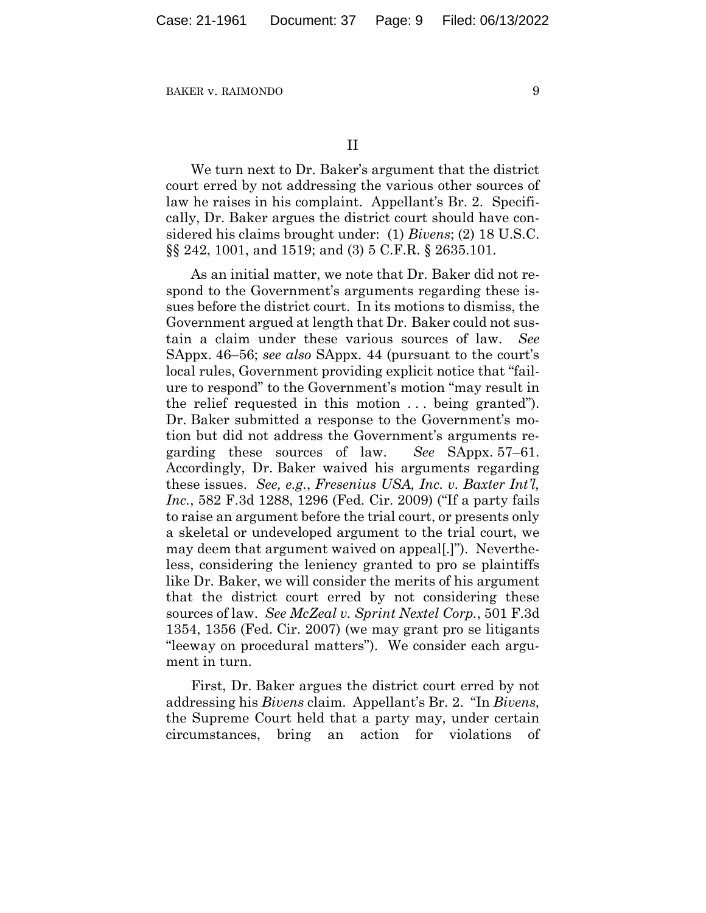II

We turn next to Dr. Baker's argument that the district court erred by not addressing the various other sources of law he raises in his complaint. Appellant's Br. 2. Specifically, Dr. Baker argues the district court should have considered his claims brought under: (1) *Bivens*; (2) 18 U.S.C. §§ 242, 1001, and 1519; and (3) 5 C.F.R. § 2635.101.

As an initial matter, we note that Dr. Baker did not respond to the Government's arguments regarding these issues before the district court. In its motions to dismiss, the Government argued at length that Dr. Baker could not sustain a claim under these various sources of law. *See* SAppx. 46–56; *see also* SAppx. 44 (pursuant to the court's local rules, Government providing explicit notice that "failure to respond" to the Government's motion "may result in the relief requested in this motion . . . being granted"). Dr. Baker submitted a response to the Government's motion but did not address the Government's arguments regarding these sources of law. *See* SAppx. 57–61. Accordingly, Dr. Baker waived his arguments regarding these issues. *See, e.g.*, *Fresenius USA, Inc. v. Baxter Int'l, Inc.*, 582 F.3d 1288, 1296 (Fed. Cir. 2009) ("If a party fails to raise an argument before the trial court, or presents only a skeletal or undeveloped argument to the trial court, we may deem that argument waived on appeal[.]"). Nevertheless, considering the leniency granted to pro se plaintiffs like Dr. Baker, we will consider the merits of his argument that the district court erred by not considering these sources of law. *See McZeal v. Sprint Nextel Corp.*, 501 F.3d 1354, 1356 (Fed. Cir. 2007) (we may grant pro se litigants "leeway on procedural matters"). We consider each argument in turn.

First, Dr. Baker argues the district court erred by not addressing his *Bivens* claim. Appellant's Br. 2. "In *Bivens*, the Supreme Court held that a party may, under certain circumstances, bring an action for violations of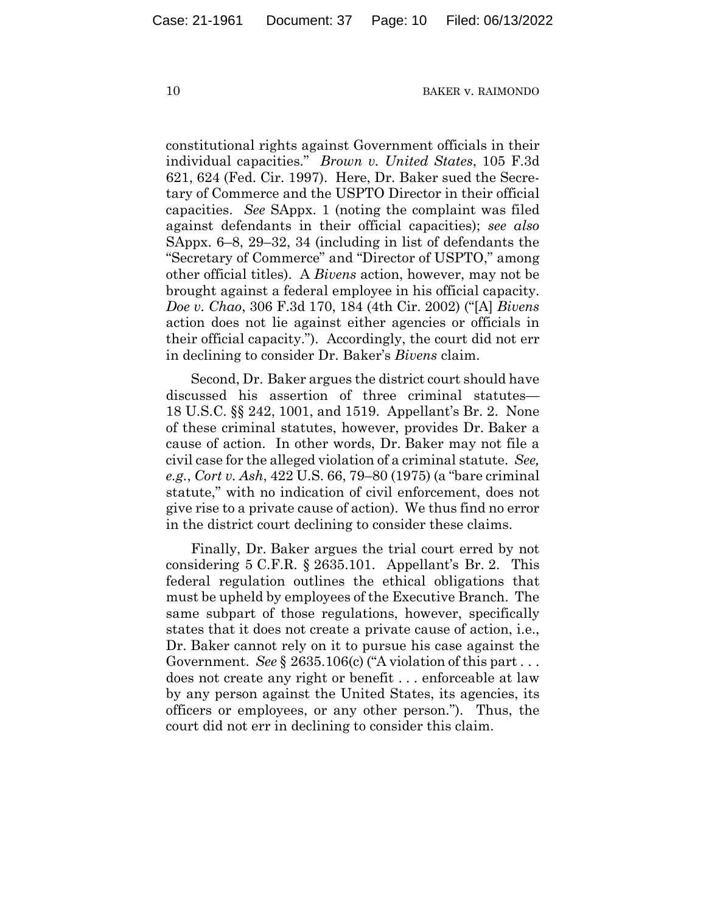constitutional rights against Government officials in their individual capacities." *Brown v. United States*, 105 F.3d 621, 624 (Fed. Cir. 1997). Here, Dr. Baker sued the Secretary of Commerce and the USPTO Director in their official capacities. *See* SAppx. 1 (noting the complaint was filed against defendants in their official capacities); *see also*  SAppx. 6–8, 29–32, 34 (including in list of defendants the "Secretary of Commerce" and "Director of USPTO," among other official titles). A *Bivens* action, however, may not be brought against a federal employee in his official capacity. *Doe v. Chao*, 306 F.3d 170, 184 (4th Cir. 2002) ("[A] *Bivens* action does not lie against either agencies or officials in their official capacity."). Accordingly, the court did not err in declining to consider Dr. Baker's *Bivens* claim.

Second, Dr. Baker argues the district court should have discussed his assertion of three criminal statutes— 18 U.S.C. §§ 242, 1001, and 1519. Appellant's Br. 2. None of these criminal statutes, however, provides Dr. Baker a cause of action. In other words, Dr. Baker may not file a civil case for the alleged violation of a criminal statute. *See, e.g.*, *Cort v. Ash*, 422 U.S. 66, 79–80 (1975) (a "bare criminal statute," with no indication of civil enforcement, does not give rise to a private cause of action). We thus find no error in the district court declining to consider these claims.

Finally, Dr. Baker argues the trial court erred by not considering 5 C.F.R. § 2635.101. Appellant's Br. 2. This federal regulation outlines the ethical obligations that must be upheld by employees of the Executive Branch. The same subpart of those regulations, however, specifically states that it does not create a private cause of action, i.e., Dr. Baker cannot rely on it to pursue his case against the Government. *See* § 2635.106(c) ("A violation of this part . . . does not create any right or benefit . . . enforceable at law by any person against the United States, its agencies, its officers or employees, or any other person."). Thus, the court did not err in declining to consider this claim.